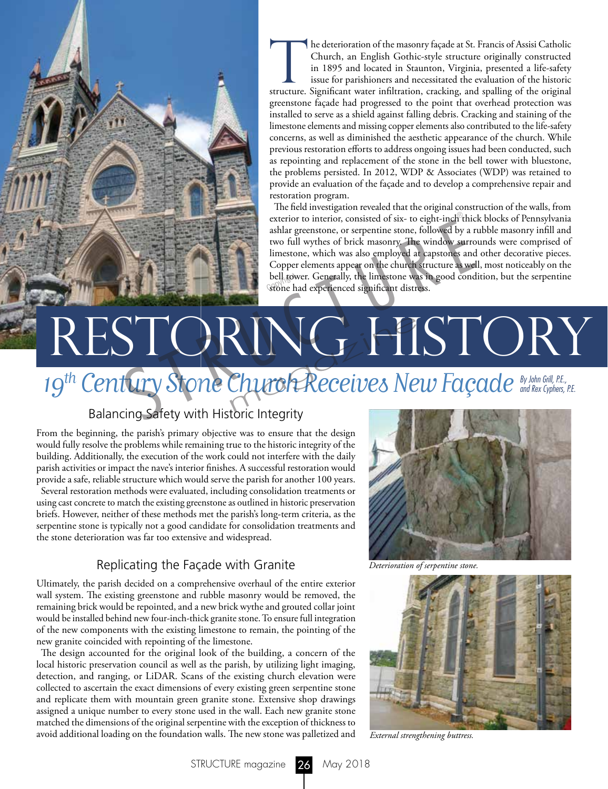he deterioration of the masonry façade at St. Francis of Assisi Catholic Church, an English Gothic-style structure originally constructed in 1895 and located in Staunton, Virginia, presented a life-safety issue for parishioners and necessitated the evaluation of the historic structure. Significant water infiltration, cracking, and spalling of the original greenstone façade had progressed to the point that overhead protection was installed to serve as a shield against falling debris. Cracking and staining of the limestone elements and missing copper elements also contributed to the life-safety concerns, as well as diminished the aesthetic appearance of the church. While previous restoration efforts to address ongoing issues had been conducted, such as repointing and replacement of the stone in the bell tower with bluestone, the problems persisted. In 2012, WDP & Associates (WDP) was retained to provide an evaluation of the façade and to develop a comprehensive repair and restoration program.

The field investigation revealed that the original construction of the walls, from exterior to interior, consisted of six- to eight-inch thick blocks of Pennsylvania ashlar greenstone, or serpentine stone, followed by a rubble masonry infill and two full wythes of brick masonry. The window surrounds were comprised of limestone, which was also employed at capstones and other decorative pieces. Copper elements appear on the church structure as well, most noticeably on the bell tower. Generally, the limestone was in good condition, but the serpentine stone had experienced significant distress. stone had experienced significant distress.

# RESTORING HISTORY Exterior to interior, consisted of six- to eight-inch this<br>ashlar greenstone, or serpentine stone, followed by a r<br>two full wythes of brick masonry. The window surro<br>limestone, which was also employed at capstones and<br>Copp RING HI<br>Church Receives Ne

## 19<sup>th</sup> Century Stone Church Receives New Façade<sup>By John Grill, P.E.,</sup>

### Balancing Safety with Historic Integrity

From the beginning, the parish's primary objective was to ensure that the design would fully resolve the problems while remaining true to the historic integrity of the building. Additionally, the execution of the work could not interfere with the daily parish activities or impact the nave's interior finishes. A successful restoration would provide a safe, reliable structure which would serve the parish for another 100 years.

Several restoration methods were evaluated, including consolidation treatments or using cast concrete to match the existing greenstone as outlined in historic preservation briefs. However, neither of these methods met the parish's long-term criteria, as the serpentine stone is typically not a good candidate for consolidation treatments and the stone deterioration was far too extensive and widespread.

#### Replicating the Façade with Granite

Ultimately, the parish decided on a comprehensive overhaul of the entire exterior wall system. The existing greenstone and rubble masonry would be removed, the remaining brick would be repointed, and a new brick wythe and grouted collar joint would be installed behind new four-inch-thick granite stone. To ensure full integration of the new components with the existing limestone to remain, the pointing of the new granite coincided with repointing of the limestone.

The design accounted for the original look of the building, a concern of the local historic preservation council as well as the parish, by utilizing light imaging, detection, and ranging, or LiDAR. Scans of the existing church elevation were collected to ascertain the exact dimensions of every existing green serpentine stone and replicate them with mountain green granite stone. Extensive shop drawings assigned a unique number to every stone used in the wall. Each new granite stone matched the dimensions of the original serpentine with the exception of thickness to avoid additional loading on the foundation walls. The new stone was palletized and



*Deterioration of serpentine stone.*



*External strengthening buttress.*